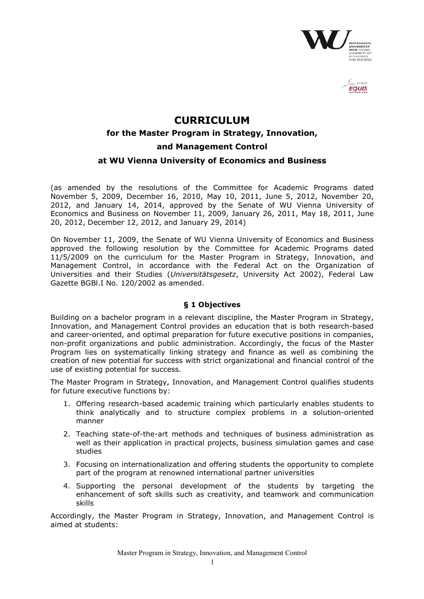

**EQUIS** 

# **CURRICULUM**

# **for the Master Program in Strategy, Innovation,**

### **and Management Control**

### **at WU Vienna University of Economics and Business**

(as amended by the resolutions of the Committee for Academic Programs dated November 5, 2009, December 16, 2010, May 10, 2011, June 5, 2012, November 20, 2012, and January 14, 2014, approved by the Senate of WU Vienna University of Economics and Business on November 11, 2009, January 26, 2011, May 18, 2011, June 20, 2012, December 12, 2012, and January 29, 2014)

On November 11, 2009, the Senate of WU Vienna University of Economics and Business approved the following resolution by the Committee for Academic Programs dated 11/5/2009 on the curriculum for the Master Program in Strategy, Innovation, and Management Control, in accordance with the Federal Act on the Organization of Universities and their Studies (*Universitätsgesetz*, University Act 2002), Federal Law Gazette BGBl.I No. 120/2002 as amended.

### **§ 1 Objectives**

Building on a bachelor program in a relevant discipline, the Master Program in Strategy, Innovation, and Management Control provides an education that is both research-based and career-oriented, and optimal preparation for future executive positions in companies, non-profit organizations and public administration. Accordingly, the focus of the Master Program lies on systematically linking strategy and finance as well as combining the creation of new potential for success with strict organizational and financial control of the use of existing potential for success.

The Master Program in Strategy, Innovation, and Management Control qualifies students for future executive functions by:

- 1. Offering research-based academic training which particularly enables students to think analytically and to structure complex problems in a solution-oriented manner
- 2. Teaching state-of-the-art methods and techniques of business administration as well as their application in practical projects, business simulation games and case studies
- 3. Focusing on internationalization and offering students the opportunity to complete part of the program at renowned international partner universities
- 4. Supporting the personal development of the students by targeting the enhancement of soft skills such as creativity, and teamwork and communication skills

Accordingly, the Master Program in Strategy, Innovation, and Management Control is aimed at students: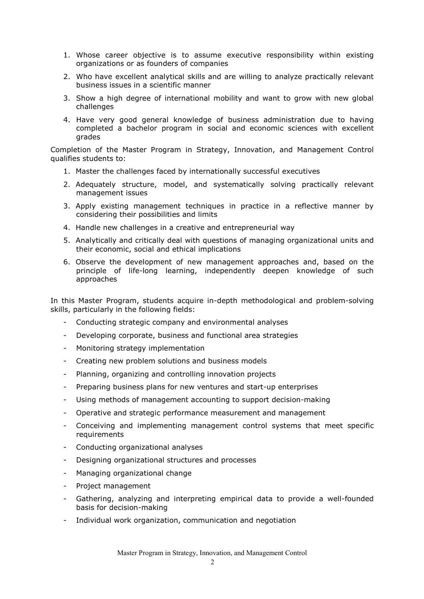- 1. Whose career objective is to assume executive responsibility within existing organizations or as founders of companies
- 2. Who have excellent analytical skills and are willing to analyze practically relevant business issues in a scientific manner
- 3. Show a high degree of international mobility and want to grow with new global challenges
- 4. Have very good general knowledge of business administration due to having completed a bachelor program in social and economic sciences with excellent grades

Completion of the Master Program in Strategy, Innovation, and Management Control qualifies students to:

- 1. Master the challenges faced by internationally successful executives
- 2. Adequately structure, model, and systematically solving practically relevant management issues
- 3. Apply existing management techniques in practice in a reflective manner by considering their possibilities and limits
- 4. Handle new challenges in a creative and entrepreneurial way
- 5. Analytically and critically deal with questions of managing organizational units and their economic, social and ethical implications
- 6. Observe the development of new management approaches and, based on the principle of life-long learning, independently deepen knowledge of such approaches

In this Master Program, students acquire in-depth methodological and problem-solving skills, particularly in the following fields:

- Conducting strategic company and environmental analyses
- Developing corporate, business and functional area strategies
- Monitoring strategy implementation
- Creating new problem solutions and business models
- Planning, organizing and controlling innovation projects
- Preparing business plans for new ventures and start-up enterprises
- Using methods of management accounting to support decision-making
- Operative and strategic performance measurement and management
- Conceiving and implementing management control systems that meet specific requirements
- Conducting organizational analyses
- Designing organizational structures and processes
- Managing organizational change
- Project management
- Gathering, analyzing and interpreting empirical data to provide a well-founded basis for decision-making
- Individual work organization, communication and negotiation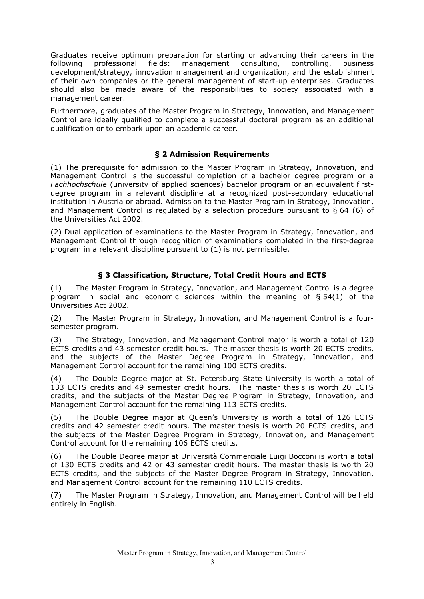Graduates receive optimum preparation for starting or advancing their careers in the following professional fields: management consulting, controlling, business development/strategy, innovation management and organization, and the establishment of their own companies or the general management of start-up enterprises. Graduates should also be made aware of the responsibilities to society associated with a management career.

Furthermore, graduates of the Master Program in Strategy, Innovation, and Management Control are ideally qualified to complete a successful doctoral program as an additional qualification or to embark upon an academic career.

### **§ 2 Admission Requirements**

(1) The prerequisite for admission to the Master Program in Strategy, Innovation, and Management Control is the successful completion of a bachelor degree program or a *Fachhochschule* (university of applied sciences) bachelor program or an equivalent firstdegree program in a relevant discipline at a recognized post-secondary educational institution in Austria or abroad. Admission to the Master Program in Strategy, Innovation, and Management Control is regulated by a selection procedure pursuant to § 64 (6) of the Universities Act 2002.

(2) Dual application of examinations to the Master Program in Strategy, Innovation, and Management Control through recognition of examinations completed in the first-degree program in a relevant discipline pursuant to (1) is not permissible.

# **§ 3 Classification, Structure, Total Credit Hours and ECTS**

(1) The Master Program in Strategy, Innovation, and Management Control is a degree program in social and economic sciences within the meaning of  $\S 54(1)$  of the Universities Act 2002.

(2) The Master Program in Strategy, Innovation, and Management Control is a foursemester program.

(3) The Strategy, Innovation, and Management Control major is worth a total of 120 ECTS credits and 43 semester credit hours. The master thesis is worth 20 ECTS credits, and the subjects of the Master Degree Program in Strategy, Innovation, and Management Control account for the remaining 100 ECTS credits.

(4) The Double Degree major at St. Petersburg State University is worth a total of 133 ECTS credits and 49 semester credit hours. The master thesis is worth 20 ECTS credits, and the subjects of the Master Degree Program in Strategy, Innovation, and Management Control account for the remaining 113 ECTS credits.

(5) The Double Degree major at Queen's University is worth a total of 126 ECTS credits and 42 semester credit hours. The master thesis is worth 20 ECTS credits, and the subjects of the Master Degree Program in Strategy, Innovation, and Management Control account for the remaining 106 ECTS credits.

(6) The Double Degree major at Università Commerciale Luigi Bocconi is worth a total of 130 ECTS credits and 42 or 43 semester credit hours. The master thesis is worth 20 ECTS credits, and the subjects of the Master Degree Program in Strategy, Innovation, and Management Control account for the remaining 110 ECTS credits.

(7) The Master Program in Strategy, Innovation, and Management Control will be held entirely in English.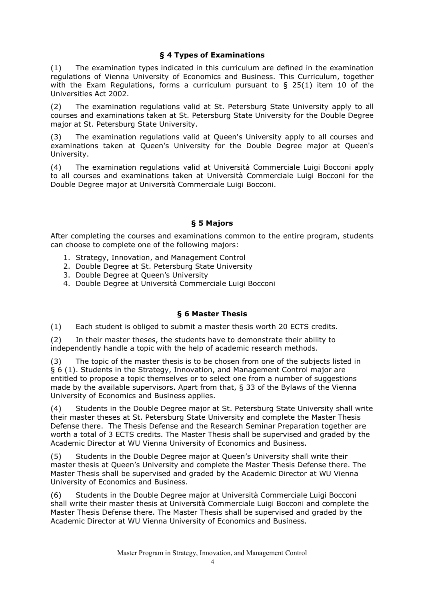# **§ 4 Types of Examinations**

(1) The examination types indicated in this curriculum are defined in the examination regulations of Vienna University of Economics and Business. This Curriculum, together with the Exam Regulations, forms a curriculum pursuant to  $\S$  25(1) item 10 of the Universities Act 2002.

(2) The examination regulations valid at St. Petersburg State University apply to all courses and examinations taken at St. Petersburg State University for the Double Degree major at St. Petersburg State University.

(3) The examination regulations valid at Queen's University apply to all courses and examinations taken at Queen's University for the Double Degree major at Queen's University.

(4) The examination regulations valid at Università Commerciale Luigi Bocconi apply to all courses and examinations taken at Università Commerciale Luigi Bocconi for the Double Degree major at Università Commerciale Luigi Bocconi.

# **§ 5 Majors**

After completing the courses and examinations common to the entire program, students can choose to complete one of the following majors:

- 1. Strategy, Innovation, and Management Control
- 2. Double Degree at St. Petersburg State University
- 3. Double Degree at Queen's University
- 4. Double Degree at Università Commerciale Luigi Bocconi

### **§ 6 Master Thesis**

(1) Each student is obliged to submit a master thesis worth 20 ECTS credits.

(2) In their master theses, the students have to demonstrate their ability to independently handle a topic with the help of academic research methods.

(3) The topic of the master thesis is to be chosen from one of the subjects listed in § 6 (1). Students in the Strategy, Innovation, and Management Control major are entitled to propose a topic themselves or to select one from a number of suggestions made by the available supervisors. Apart from that, § 33 of the Bylaws of the Vienna University of Economics and Business applies.

(4) Students in the Double Degree major at St. Petersburg State University shall write their master theses at St. Petersburg State University and complete the Master Thesis Defense there. The Thesis Defense and the Research Seminar Preparation together are worth a total of 3 ECTS credits. The Master Thesis shall be supervised and graded by the Academic Director at WU Vienna University of Economics and Business.

(5) Students in the Double Degree major at Queen's University shall write their master thesis at Queen's University and complete the Master Thesis Defense there. The Master Thesis shall be supervised and graded by the Academic Director at WU Vienna University of Economics and Business.

(6) Students in the Double Degree major at Università Commerciale Luigi Bocconi shall write their master thesis at Università Commerciale Luigi Bocconi and complete the Master Thesis Defense there. The Master Thesis shall be supervised and graded by the Academic Director at WU Vienna University of Economics and Business.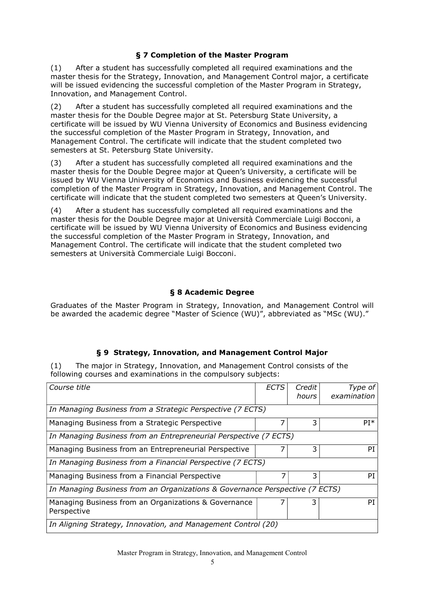# **§ 7 Completion of the Master Program**

(1) After a student has successfully completed all required examinations and the master thesis for the Strategy, Innovation, and Management Control major, a certificate will be issued evidencing the successful completion of the Master Program in Strategy, Innovation, and Management Control.

(2) After a student has successfully completed all required examinations and the master thesis for the Double Degree major at St. Petersburg State University, a certificate will be issued by WU Vienna University of Economics and Business evidencing the successful completion of the Master Program in Strategy, Innovation, and Management Control. The certificate will indicate that the student completed two semesters at St. Petersburg State University.

(3) After a student has successfully completed all required examinations and the master thesis for the Double Degree major at Queen's University, a certificate will be issued by WU Vienna University of Economics and Business evidencing the successful completion of the Master Program in Strategy, Innovation, and Management Control. The certificate will indicate that the student completed two semesters at Queen's University.

(4) After a student has successfully completed all required examinations and the master thesis for the Double Degree major at Università Commerciale Luigi Bocconi, a certificate will be issued by WU Vienna University of Economics and Business evidencing the successful completion of the Master Program in Strategy, Innovation, and Management Control. The certificate will indicate that the student completed two semesters at Università Commerciale Luigi Bocconi.

# **§ 8 Academic Degree**

Graduates of the Master Program in Strategy, Innovation, and Management Control will be awarded the academic degree "Master of Science (WU)", abbreviated as "MSc (WU)."

### **§ 9 Strategy, Innovation, and Management Control Major**

(1) The major in Strategy, Innovation, and Management Control consists of the following courses and examinations in the compulsory subjects:

| Course title                                                                 | <b>ECTS</b> | Credit<br>hours | Type of<br>examination |
|------------------------------------------------------------------------------|-------------|-----------------|------------------------|
| In Managing Business from a Strategic Perspective (7 ECTS)                   |             |                 |                        |
| Managing Business from a Strategic Perspective                               |             | 3               | $PI*$                  |
| In Managing Business from an Entrepreneurial Perspective (7 ECTS)            |             |                 |                        |
| Managing Business from an Entrepreneurial Perspective                        |             | 3               | PI                     |
| In Managing Business from a Financial Perspective (7 ECTS)                   |             |                 |                        |
| Managing Business from a Financial Perspective                               |             | 3               | PI                     |
| In Managing Business from an Organizations & Governance Perspective (7 ECTS) |             |                 |                        |
| Managing Business from an Organizations & Governance<br>Perspective          |             | 3               | PI                     |
| In Aligning Strategy, Innovation, and Management Control (20)                |             |                 |                        |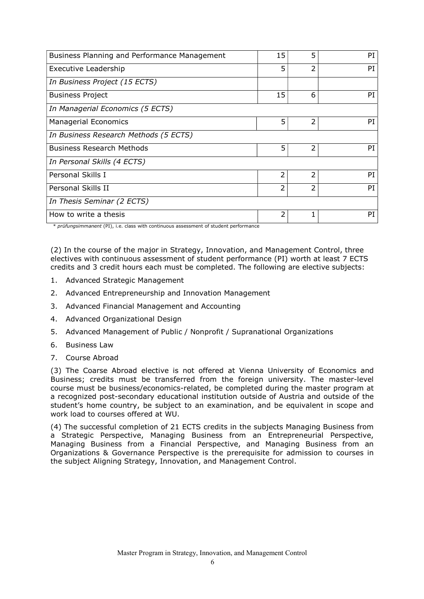| Business Planning and Performance Management | 15 | 5 | PI |
|----------------------------------------------|----|---|----|
| <b>Executive Leadership</b>                  | 5  | 2 | PI |
| In Business Project (15 ECTS)                |    |   |    |
| <b>Business Project</b>                      | 15 | 6 | PI |
| In Managerial Economics (5 ECTS)             |    |   |    |
| <b>Managerial Economics</b>                  | 5  | 2 | PI |
| In Business Research Methods (5 ECTS)        |    |   |    |
| <b>Business Research Methods</b>             | 5  | 2 | PI |
| In Personal Skills (4 ECTS)                  |    |   |    |
| Personal Skills I                            | 2  | 2 | PI |
| Personal Skills II                           | 2  | 2 | PI |
| In Thesis Seminar (2 ECTS)                   |    |   |    |
| How to write a thesis                        | 2  |   | PI |

\* *prüfungsimmanent* (PI), i.e. class with continuous assessment of student performance

(2) In the course of the major in Strategy, Innovation, and Management Control, three electives with continuous assessment of student performance (PI) worth at least 7 ECTS credits and 3 credit hours each must be completed. The following are elective subjects:

- 1. Advanced Strategic Management
- 2. Advanced Entrepreneurship and Innovation Management
- 3. Advanced Financial Management and Accounting
- 4. Advanced Organizational Design
- 5. Advanced Management of Public / Nonprofit / Supranational Organizations
- 6. Business Law
- 7. Course Abroad

(3) The Coarse Abroad elective is not offered at Vienna University of Economics and Business; credits must be transferred from the foreign university. The master-level course must be business/economics-related, be completed during the master program at a recognized post-secondary educational institution outside of Austria and outside of the student's home country, be subject to an examination, and be equivalent in scope and work load to courses offered at WU.

(4) The successful completion of 21 ECTS credits in the subjects Managing Business from a Strategic Perspective, Managing Business from an Entrepreneurial Perspective, Managing Business from a Financial Perspective, and Managing Business from an Organizations & Governance Perspective is the prerequisite for admission to courses in the subject Aligning Strategy, Innovation, and Management Control.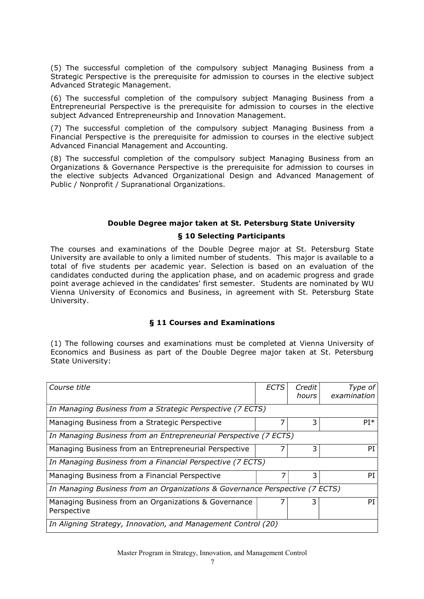(5) The successful completion of the compulsory subject Managing Business from a Strategic Perspective is the prerequisite for admission to courses in the elective subject Advanced Strategic Management.

(6) The successful completion of the compulsory subject Managing Business from a Entrepreneurial Perspective is the prerequisite for admission to courses in the elective subject Advanced Entrepreneurship and Innovation Management.

(7) The successful completion of the compulsory subject Managing Business from a Financial Perspective is the prerequisite for admission to courses in the elective subject Advanced Financial Management and Accounting.

(8) The successful completion of the compulsory subject Managing Business from an Organizations & Governance Perspective is the prerequisite for admission to courses in the elective subjects Advanced Organizational Design and Advanced Management of Public / Nonprofit / Supranational Organizations.

### **Double Degree major taken at St. Petersburg State University**

### **§ 10 Selecting Participants**

The courses and examinations of the Double Degree major at St. Petersburg State University are available to only a limited number of students. This major is available to a total of five students per academic year. Selection is based on an evaluation of the candidates conducted during the application phase, and on academic progress and grade point average achieved in the candidates' first semester. Students are nominated by WU Vienna University of Economics and Business, in agreement with St. Petersburg State University.

### **§ 11 Courses and Examinations**

(1) The following courses and examinations must be completed at Vienna University of Economics and Business as part of the Double Degree major taken at St. Petersburg State University:

| Course title                                                                 | <b>ECTS</b> | Credit<br>hours | Type of<br>examination |  |
|------------------------------------------------------------------------------|-------------|-----------------|------------------------|--|
| In Managing Business from a Strategic Perspective (7 ECTS)                   |             |                 |                        |  |
| Managing Business from a Strategic Perspective                               |             | 3               | $PI*$                  |  |
| In Managing Business from an Entrepreneurial Perspective (7 ECTS)            |             |                 |                        |  |
| Managing Business from an Entrepreneurial Perspective                        |             | 3               | РT                     |  |
| In Managing Business from a Financial Perspective (7 ECTS)                   |             |                 |                        |  |
| Managing Business from a Financial Perspective                               |             | 3               | PI                     |  |
| In Managing Business from an Organizations & Governance Perspective (7 ECTS) |             |                 |                        |  |
| Managing Business from an Organizations & Governance<br>Perspective          |             | 3               | РT                     |  |
| In Aligning Strategy, Innovation, and Management Control (20)                |             |                 |                        |  |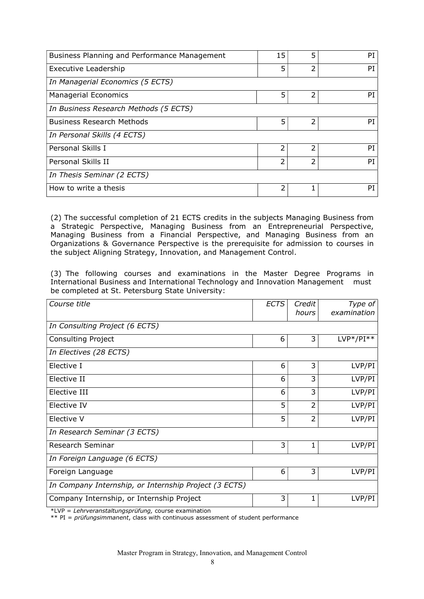| Business Planning and Performance Management | 15 | 5 | PI |
|----------------------------------------------|----|---|----|
| Executive Leadership                         | 5  | 2 | PI |
| In Managerial Economics (5 ECTS)             |    |   |    |
| Managerial Economics                         | 5  | 2 | PI |
| In Business Research Methods (5 ECTS)        |    |   |    |
| <b>Business Research Methods</b>             | 5  | 2 | PI |
| In Personal Skills (4 ECTS)                  |    |   |    |
| Personal Skills I                            | フ  | 2 | PI |
| Personal Skills II                           | っ  | 2 | PI |
| In Thesis Seminar (2 ECTS)                   |    |   |    |
| How to write a thesis                        | 2  |   | PI |

(2) The successful completion of 21 ECTS credits in the subjects Managing Business from a Strategic Perspective, Managing Business from an Entrepreneurial Perspective, Managing Business from a Financial Perspective, and Managing Business from an Organizations & Governance Perspective is the prerequisite for admission to courses in the subject Aligning Strategy, Innovation, and Management Control.

(3) The following courses and examinations in the Master Degree Programs in International Business and International Technology and Innovation Management must be completed at St. Petersburg State University:

| Course title                                          | <b>ECTS</b> | Credit<br>hours | Type of<br>examination |
|-------------------------------------------------------|-------------|-----------------|------------------------|
| In Consulting Project (6 ECTS)                        |             |                 |                        |
| Consulting Project                                    | 6           | 3               | $LVP*/PI**$            |
| In Electives (28 ECTS)                                |             |                 |                        |
| Elective I                                            | 6           | 3               | LVP/PI                 |
| Elective II                                           | 6           | 3               | LVP/PI                 |
| Elective III                                          | 6           | 3               | LVP/PI                 |
| Elective IV                                           | 5           | 2               | LVP/PI                 |
| Elective V                                            | 5           | 2               | LVP/PI                 |
| In Research Seminar (3 ECTS)                          |             |                 |                        |
| Research Seminar                                      | 3           | 1               | LVP/PI                 |
| In Foreign Language (6 ECTS)                          |             |                 |                        |
| Foreign Language                                      | 6           | 3               | LVP/PI                 |
| In Company Internship, or Internship Project (3 ECTS) |             |                 |                        |
| Company Internship, or Internship Project             | 3           | 1               | LVP/PI                 |

\*LVP = *Lehrveranstaltungsprüfung,* course examination

\*\* PI = *prüfungsimmanent*, class with continuous assessment of student performance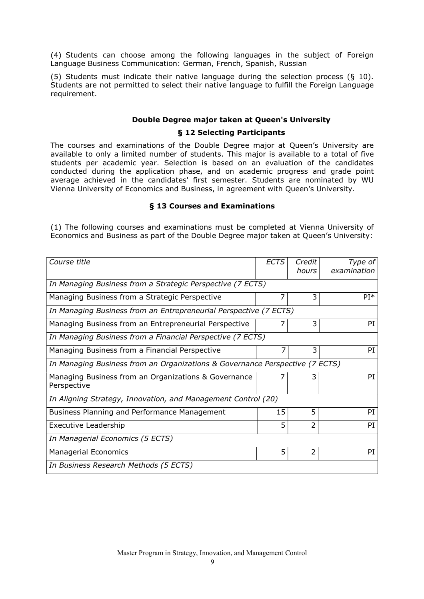(4) Students can choose among the following languages in the subject of Foreign Language Business Communication: German, French, Spanish, Russian

(5) Students must indicate their native language during the selection process (§ 10). Students are not permitted to select their native language to fulfill the Foreign Language requirement.

### **Double Degree major taken at Queen's University**

### **§ 12 Selecting Participants**

The courses and examinations of the Double Degree major at Queen's University are available to only a limited number of students. This major is available to a total of five students per academic year. Selection is based on an evaluation of the candidates conducted during the application phase, and on academic progress and grade point average achieved in the candidates' first semester. Students are nominated by WU Vienna University of Economics and Business, in agreement with Queen's University.

### **§ 13 Courses and Examinations**

(1) The following courses and examinations must be completed at Vienna University of Economics and Business as part of the Double Degree major taken at Queen's University:

| Course title                                                                 | <b>ECTS</b> | Credit<br>hours | Type of<br>examination |  |
|------------------------------------------------------------------------------|-------------|-----------------|------------------------|--|
| In Managing Business from a Strategic Perspective (7 ECTS)                   |             |                 |                        |  |
| Managing Business from a Strategic Perspective                               | 7           | 3               | $PI*$                  |  |
| In Managing Business from an Entrepreneurial Perspective (7 ECTS)            |             |                 |                        |  |
| Managing Business from an Entrepreneurial Perspective                        |             | 3               | PI                     |  |
| In Managing Business from a Financial Perspective (7 ECTS)                   |             |                 |                        |  |
| Managing Business from a Financial Perspective                               | 7           | 3               | PI                     |  |
| In Managing Business from an Organizations & Governance Perspective (7 ECTS) |             |                 |                        |  |
| Managing Business from an Organizations & Governance<br>Perspective          |             | 3               | PI                     |  |
| In Aligning Strategy, Innovation, and Management Control (20)                |             |                 |                        |  |
| Business Planning and Performance Management                                 | 15          | 5               | PI                     |  |
| <b>Executive Leadership</b>                                                  | 5           | $\overline{2}$  | PI                     |  |
| In Managerial Economics (5 ECTS)                                             |             |                 |                        |  |
| <b>Managerial Economics</b>                                                  | 5           | $\overline{2}$  | PT                     |  |
| In Business Research Methods (5 ECTS)                                        |             |                 |                        |  |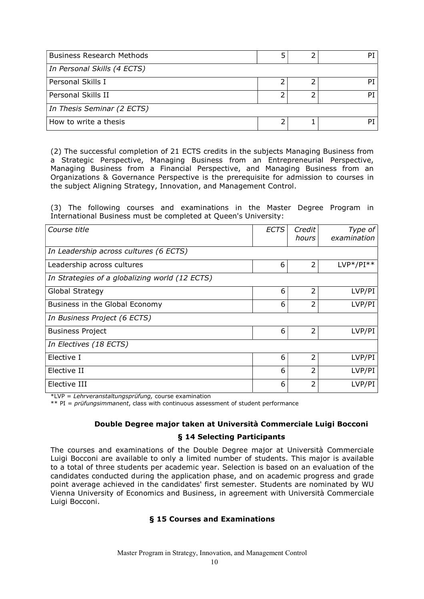| <b>Business Research Methods</b> |  | РT |
|----------------------------------|--|----|
| In Personal Skills (4 ECTS)      |  |    |
| Personal Skills I                |  | Рī |
| Personal Skills II               |  | Ρī |
| In Thesis Seminar (2 ECTS)       |  |    |
| How to write a thesis            |  | Рī |

(2) The successful completion of 21 ECTS credits in the subjects Managing Business from a Strategic Perspective, Managing Business from an Entrepreneurial Perspective, Managing Business from a Financial Perspective, and Managing Business from an Organizations & Governance Perspective is the prerequisite for admission to courses in the subject Aligning Strategy, Innovation, and Management Control.

(3) The following courses and examinations in the Master Degree Program in International Business must be completed at Queen's University:

| Course title                                   | <b>ECTS</b> | Credit<br>hours | Type of<br>examination |
|------------------------------------------------|-------------|-----------------|------------------------|
| In Leadership across cultures (6 ECTS)         |             |                 |                        |
| Leadership across cultures                     | 6           | 2               | $LVP*/PI**$            |
| In Strategies of a globalizing world (12 ECTS) |             |                 |                        |
| Global Strategy                                | 6           | 2               | LVP/PI                 |
| Business in the Global Economy                 | 6           | 2               | LVP/PI                 |
| In Business Project (6 ECTS)                   |             |                 |                        |
| <b>Business Project</b>                        | 6           | 2               | LVP/PI                 |
| In Electives (18 ECTS)                         |             |                 |                        |
| Elective I                                     | 6           | 2               | LVP/PI                 |
| Elective II                                    | 6           | 2               | LVP/PI                 |
| Elective III                                   | 6           | 2               | LVP/PI                 |

\*LVP = *Lehrveranstaltungsprüfung,* course examination

\*\* PI = *prüfungsimmanent*, class with continuous assessment of student performance

### **Double Degree major taken at Università Commerciale Luigi Bocconi**

#### **§ 14 Selecting Participants**

The courses and examinations of the Double Degree major at Università Commerciale Luigi Bocconi are available to only a limited number of students. This major is available to a total of three students per academic year. Selection is based on an evaluation of the candidates conducted during the application phase, and on academic progress and grade point average achieved in the candidates' first semester. Students are nominated by WU Vienna University of Economics and Business, in agreement with Università Commerciale Luigi Bocconi.

### **§ 15 Courses and Examinations**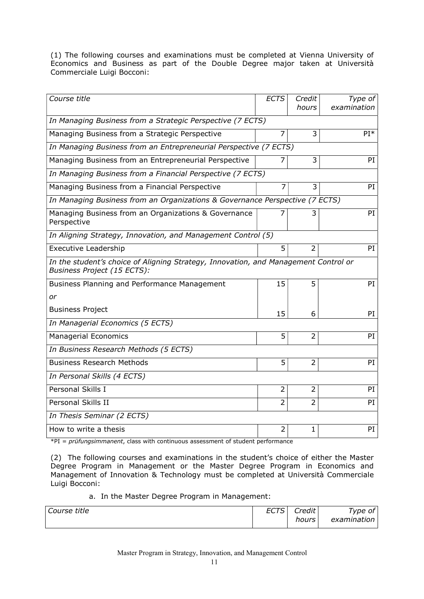(1) The following courses and examinations must be completed at Vienna University of Economics and Business as part of the Double Degree major taken at Università Commerciale Luigi Bocconi:

| Course title                                                                                                       | <b>ECTS</b>    | Credit         | Type of         |
|--------------------------------------------------------------------------------------------------------------------|----------------|----------------|-----------------|
|                                                                                                                    |                | hours          | examination     |
| In Managing Business from a Strategic Perspective (7 ECTS)                                                         |                |                |                 |
| Managing Business from a Strategic Perspective                                                                     | 7              | 3              | PI <sup>*</sup> |
| In Managing Business from an Entrepreneurial Perspective (7 ECTS)                                                  |                |                |                 |
| Managing Business from an Entrepreneurial Perspective                                                              |                | 3              | PI              |
| In Managing Business from a Financial Perspective (7 ECTS)                                                         |                |                |                 |
| Managing Business from a Financial Perspective                                                                     | 7              | 3              | PI              |
| In Managing Business from an Organizations & Governance Perspective (7 ECTS)                                       |                |                |                 |
| Managing Business from an Organizations & Governance<br>Perspective                                                |                | 3              | PI              |
| In Aligning Strategy, Innovation, and Management Control (5)                                                       |                |                |                 |
| <b>Executive Leadership</b>                                                                                        | 5              | $\overline{2}$ | PI              |
| In the student's choice of Aligning Strategy, Innovation, and Management Control or<br>Business Project (15 ECTS): |                |                |                 |
| Business Planning and Performance Management                                                                       | 15             | 5              | PI              |
| or                                                                                                                 |                |                |                 |
| <b>Business Project</b>                                                                                            | 15             | 6              | PI.             |
| In Managerial Economics (5 ECTS)                                                                                   |                |                |                 |
| <b>Managerial Economics</b>                                                                                        | 5              | $\overline{2}$ | PI              |
| In Business Research Methods (5 ECTS)                                                                              |                |                |                 |
| <b>Business Research Methods</b>                                                                                   | 5              | $\overline{2}$ | PI              |
| In Personal Skills (4 ECTS)                                                                                        |                |                |                 |
| Personal Skills I                                                                                                  | $\overline{2}$ | $\overline{2}$ | PI              |
| Personal Skills II                                                                                                 | $\overline{2}$ | $\overline{2}$ | PI              |
| In Thesis Seminar (2 ECTS)                                                                                         |                |                |                 |
| How to write a thesis                                                                                              | 2              | 1              | PI              |

\*PI = *prüfungsimmanent*, class with continuous assessment of student performance

(2) The following courses and examinations in the student's choice of either the Master Degree Program in Management or the Master Degree Program in Economics and Management of Innovation & Technology must be completed at Università Commerciale Luigi Bocconi:

#### a. In the Master Degree Program in Management:

| Course title | <b>FOTO</b> | Credit | ype of      |
|--------------|-------------|--------|-------------|
|              | L U I U     | hours  | examination |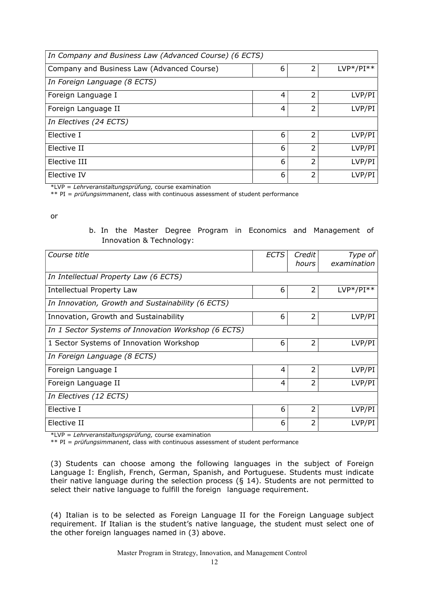| In Company and Business Law (Advanced Course) (6 ECTS) |   |                |             |
|--------------------------------------------------------|---|----------------|-------------|
| Company and Business Law (Advanced Course)             | 6 | 2              | $LVP*/PI**$ |
| In Foreign Language (8 ECTS)                           |   |                |             |
| Foreign Language I                                     | 4 | 2              | LVP/PI      |
| Foreign Language II                                    | 4 | 2              | LVP/PI      |
| In Electives (24 ECTS)                                 |   |                |             |
| Elective I                                             | 6 | 2              | LVP/PI      |
| Elective II                                            | 6 | 2              | LVP/PI      |
| Elective III                                           | 6 | $\overline{2}$ | LVP/PI      |
| Elective IV                                            | 6 | 2              | LVP/PI      |

\*LVP = *Lehrveranstaltungsprüfung,* course examination

\*\* PI = *prüfungsimmanent*, class with continuous assessment of student performance

or

### b. In the Master Degree Program in Economics and Management of Innovation & Technology:

| Course title                                        | <b>ECTS</b>    | Credit<br>hours | Type of<br>examination |
|-----------------------------------------------------|----------------|-----------------|------------------------|
| In Intellectual Property Law (6 ECTS)               |                |                 |                        |
| Intellectual Property Law                           | 6              | $\overline{2}$  | $LVP*/PI**$            |
| In Innovation, Growth and Sustainability (6 ECTS)   |                |                 |                        |
| Innovation, Growth and Sustainability               | 6              | 2               | LVP/PI                 |
| In 1 Sector Systems of Innovation Workshop (6 ECTS) |                |                 |                        |
| 1 Sector Systems of Innovation Workshop             | 6              | 2               | LVP/PI                 |
| In Foreign Language (8 ECTS)                        |                |                 |                        |
| Foreign Language I                                  | 4              | $\overline{2}$  | LVP/PI                 |
| Foreign Language II                                 | $\overline{4}$ | 2               | LVP/PI                 |
| In Electives (12 ECTS)                              |                |                 |                        |
| Elective I                                          | 6              | 2               | LVP/PI                 |
| Elective II                                         | 6              | 2               | LVP/PI                 |

\*LVP = *Lehrveranstaltungsprüfung,* course examination

\*\* PI = *prüfungsimmanent*, class with continuous assessment of student performance

(3) Students can choose among the following languages in the subject of Foreign Language I: English, French, German, Spanish, and Portuguese. Students must indicate their native language during the selection process (§ 14). Students are not permitted to select their native language to fulfill the foreign language requirement.

(4) Italian is to be selected as Foreign Language II for the Foreign Language subject requirement. If Italian is the student's native language, the student must select one of the other foreign languages named in (3) above.